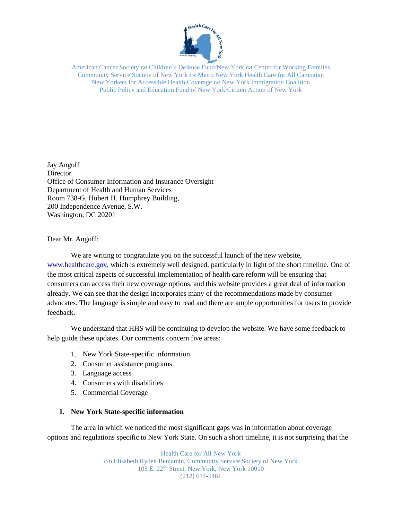

American Cancer Society  $\alpha$  Children's Defense Fund/New York  $\alpha$  Center for Working Families Community Service Society of New York Metro New York Health Care for All Campaign New Yorkers for Accessible Health Coverage New York Immigration Coalition Public Policy and Education Fund of New York/Citizen Action of New York

Jay Angoff **Director** Office of Consumer Information and Insurance Oversight Department of Health and Human Services Room 738-G, Hubert H. Humphrey Building, 200 Independence Avenue, S.W. Washington, DC 20201

Dear Mr. Angoff:

We are writing to congratulate you on the successful launch of the new website, [www.healthcare.gov,](http://www.healthcare.gov/) which is extremely well designed, particularly in light of the short timeline. One of the most critical aspects of successful implementation of health care reform will be ensuring that consumers can access their new coverage options, and this website provides a great deal of information already. We can see that the design incorporates many of the recommendations made by consumer advocates. The language is simple and easy to read and there are ample opportunities for users to provide feedback.

We understand that HHS will be continuing to develop the website. We have some feedback to help guide these updates. Our comments concern five areas:

- 1. New York State-specific information
- 2. Consumer assistance programs
- 3. Language access
- 4. Consumers with disabilities
- 5. Commercial Coverage

## **1. New York State-specific information**

The area in which we noticed the most significant gaps was in information about coverage options and regulations specific to New York State. On such a short timeline, it is not surprising that the

> Health Care for All New York c/o Elisabeth Ryden Benjamin, Community Service Society of New York 105 E. 22<sup>nd</sup> Street, New York, New York 10010 (212) 614-5461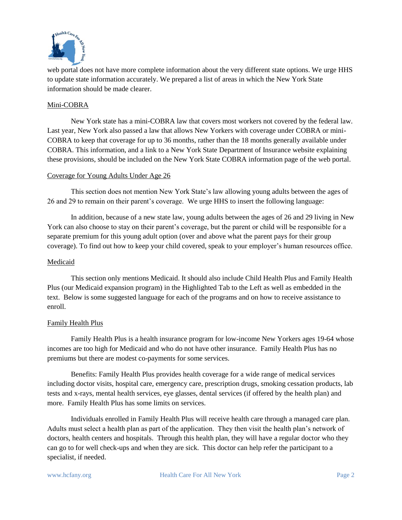

web portal does not have more complete information about the very different state options. We urge HHS to update state information accurately. We prepared a list of areas in which the New York State information should be made clearer.

## Mini-COBRA

New York state has a mini-COBRA law that covers most workers not covered by the federal law. Last year, New York also passed a law that allows New Yorkers with coverage under COBRA or mini-COBRA to keep that coverage for up to 36 months, rather than the 18 months generally available under COBRA. This information, and a link to a New York State Department of Insurance website explaining these provisions, should be included on the New York State COBRA information page of the web portal.

## Coverage for Young Adults Under Age 26

This section does not mention New York State's law allowing young adults between the ages of 26 and 29 to remain on their parent's coverage. We urge HHS to insert the following language:

In addition, because of a new state law, young adults between the ages of 26 and 29 living in New York can also choose to stay on their parent's coverage, but the parent or child will be responsible for a separate premium for this young adult option (over and above what the parent pays for their group coverage). To find out how to keep your child covered, speak to your employer's human resources office.

## Medicaid

This section only mentions Medicaid. It should also include Child Health Plus and Family Health Plus (our Medicaid expansion program) in the Highlighted Tab to the Left as well as embedded in the text. Below is some suggested language for each of the programs and on how to receive assistance to enroll.

## Family Health Plus

Family Health Plus is a health insurance program for low-income New Yorkers ages 19-64 whose incomes are too high for Medicaid and who do not have other insurance. Family Health Plus has no premiums but there are modest co-payments for some services.

Benefits: Family Health Plus provides health coverage for a wide range of medical services including doctor visits, hospital care, emergency care, prescription drugs, smoking cessation products, lab tests and x-rays, mental health services, eye glasses, dental services (if offered by the health plan) and more. Family Health Plus has some limits on services.

Individuals enrolled in Family Health Plus will receive health care through a managed care plan. Adults must select a health plan as part of the application. They then visit the health plan's network of doctors, health centers and hospitals. Through this health plan, they will have a regular doctor who they can go to for well check-ups and when they are sick. This doctor can help refer the participant to a specialist, if needed.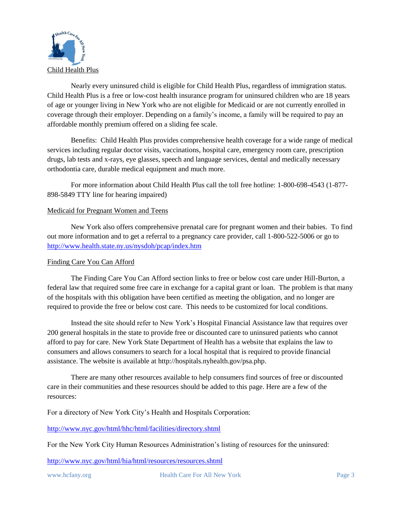

Nearly every uninsured child is eligible for Child Health Plus, regardless of immigration status. Child Health Plus is a free or low-cost health insurance program for uninsured children who are 18 years of age or younger living in New York who are not eligible for Medicaid or are not currently enrolled in coverage through their employer. Depending on a family's income, a family will be required to pay an affordable monthly premium offered on a sliding fee scale.

Benefits: Child Health Plus provides comprehensive health coverage for a wide range of medical services including regular doctor visits, vaccinations, hospital care, emergency room care, prescription drugs, lab tests and x-rays, eye glasses, speech and language services, dental and medically necessary orthodontia care, durable medical equipment and much more.

For more information about Child Health Plus call the toll free hotline: 1-800-698-4543 (1-877- 898-5849 TTY line for hearing impaired)

## Medicaid for Pregnant Women and Teens

New York also offers comprehensive prenatal care for pregnant women and their babies. To find out more information and to get a referral to a pregnancy care provider, call 1-800-522-5006 or go to <http://www.health.state.ny.us/nysdoh/pcap/index.htm>

## Finding Care You Can Afford

The Finding Care You Can Afford section links to free or below cost care under Hill-Burton, a federal law that required some free care in exchange for a capital grant or loan. The problem is that many of the hospitals with this obligation have been certified as meeting the obligation, and no longer are required to provide the free or below cost care. This needs to be customized for local conditions.

Instead the site should refer to New York's Hospital Financial Assistance law that requires over 200 general hospitals in the state to provide free or discounted care to uninsured patients who cannot afford to pay for care. New York State Department of Health has a website that explains the law to consumers and allows consumers to search for a local hospital that is required to provide financial assistance. The website is available at http://hospitals.nyhealth.gov/psa.php.

There are many other resources available to help consumers find sources of free or discounted care in their communities and these resources should be added to this page. Here are a few of the resources:

For a directory of New York City's Health and Hospitals Corporation:

<http://www.nyc.gov/html/hhc/html/facilities/directory.shtml>

For the New York City Human Resources Administration's listing of resources for the uninsured:

<http://www.nyc.gov/html/hia/html/resources/resources.shtml>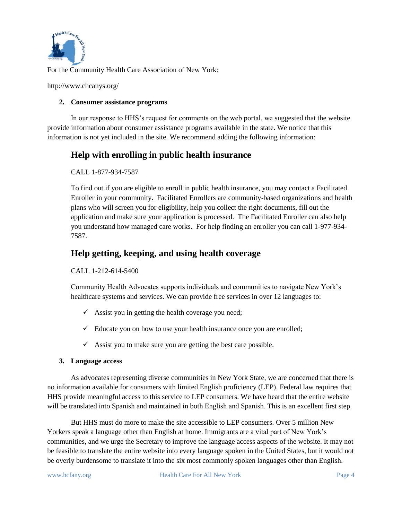

For the Community Health Care Association of New York:

http://www.chcanys.org/

## **2. Consumer assistance programs**

In our response to HHS's request for comments on the web portal, we suggested that the website provide information about consumer assistance programs available in the state. We notice that this information is not yet included in the site. We recommend adding the following information:

# **Help with enrolling in public health insurance**

CALL 1-877-934-7587

To find out if you are eligible to enroll in public health insurance, you may contact a Facilitated Enroller in your community. Facilitated Enrollers are community-based organizations and health plans who will screen you for eligibility, help you collect the right documents, fill out the application and make sure your application is processed. The Facilitated Enroller can also help you understand how managed care works. For help finding an enroller you can call 1-977-934- 7587.

# **Help getting, keeping, and using health coverage**

CALL 1-212-614-5400

Community Health Advocates supports individuals and communities to navigate New York's healthcare systems and services. We can provide free services in over 12 languages to:

- $\checkmark$  Assist you in getting the health coverage you need;
- $\checkmark$  Educate you on how to use your health insurance once you are enrolled;
- $\checkmark$  Assist you to make sure you are getting the best care possible.

## **3. Language access**

As advocates representing diverse communities in New York State, we are concerned that there is no information available for consumers with limited English proficiency (LEP). Federal law requires that HHS provide meaningful access to this service to LEP consumers. We have heard that the entire website will be translated into Spanish and maintained in both English and Spanish. This is an excellent first step.

But HHS must do more to make the site accessible to LEP consumers. Over 5 million New Yorkers speak a language other than English at home. Immigrants are a vital part of New York's communities, and we urge the Secretary to improve the language access aspects of the website. It may not be feasible to translate the entire website into every language spoken in the United States, but it would not be overly burdensome to translate it into the six most commonly spoken languages other than English.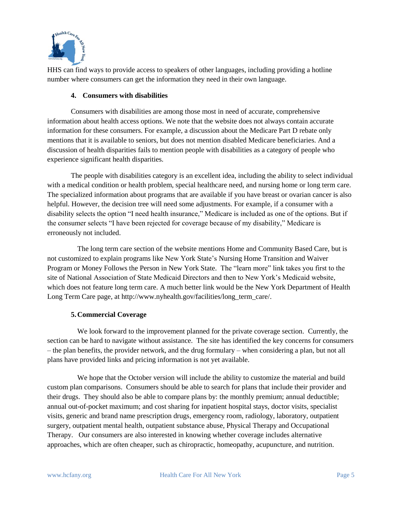

HHS can find ways to provide access to speakers of other languages, including providing a hotline number where consumers can get the information they need in their own language.

## **4. Consumers with disabilities**

Consumers with disabilities are among those most in need of accurate, comprehensive information about health access options. We note that the website does not always contain accurate information for these consumers. For example, a discussion about the Medicare Part D rebate only mentions that it is available to seniors, but does not mention disabled Medicare beneficiaries. And a discussion of health disparities fails to mention people with disabilities as a category of people who experience significant health disparities.

The people with disabilities category is an excellent idea, including the ability to select individual with a medical condition or health problem, special healthcare need, and nursing home or long term care. The specialized information about programs that are available if you have breast or ovarian cancer is also helpful. However, the decision tree will need some adjustments. For example, if a consumer with a disability selects the option "I need health insurance," Medicare is included as one of the options. But if the consumer selects "I have been rejected for coverage because of my disability," Medicare is erroneously not included.

The long term care section of the website mentions Home and Community Based Care, but is not customized to explain programs like New York State's Nursing Home Transition and Waiver Program or Money Follows the Person in New York State. The "learn more" link takes you first to the site of National Association of State Medicaid Directors and then to New York's Medicaid website, which does not feature long term care. A much better link would be the New York Department of Health Long Term Care page, at http://www.nyhealth.gov/facilities/long\_term\_care/.

## **5.Commercial Coverage**

We look forward to the improvement planned for the private coverage section. Currently, the section can be hard to navigate without assistance. The site has identified the key concerns for consumers – the plan benefits, the provider network, and the drug formulary – when considering a plan, but not all plans have provided links and pricing information is not yet available.

We hope that the October version will include the ability to customize the material and build custom plan comparisons. Consumers should be able to search for plans that include their provider and their drugs. They should also be able to compare plans by: the monthly premium; annual deductible; annual out-of-pocket maximum; and cost sharing for inpatient hospital stays, doctor visits, specialist visits, generic and brand name prescription drugs, emergency room, radiology, laboratory, outpatient surgery, outpatient mental health, outpatient substance abuse, Physical Therapy and Occupational Therapy. Our consumers are also interested in knowing whether coverage includes alternative approaches, which are often cheaper, such as chiropractic, homeopathy, acupuncture, and nutrition.